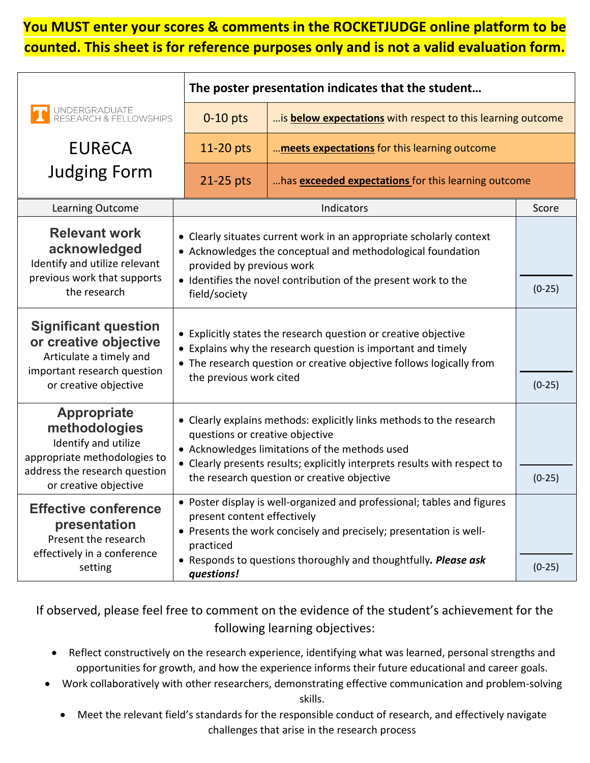## **You MUST enter your scores & comments in the ROCKETJUDGE online platform to be counted. This sheet is for reference purposes only and is not a valid evaluation form.**

|                                                                                                                                         | The poster presentation indicates that the student                                                                                                                                                                                                                                    |                                                                    |          |
|-----------------------------------------------------------------------------------------------------------------------------------------|---------------------------------------------------------------------------------------------------------------------------------------------------------------------------------------------------------------------------------------------------------------------------------------|--------------------------------------------------------------------|----------|
| UNDERGRADUATE<br>RESEARCH & FELLOWSHIPS                                                                                                 | $0-10$ pts                                                                                                                                                                                                                                                                            | is <b>below expectations</b> with respect to this learning outcome |          |
| <b>EURECA</b>                                                                                                                           | 11-20 pts                                                                                                                                                                                                                                                                             | meets expectations for this learning outcome                       |          |
| <b>Judging Form</b>                                                                                                                     | 21-25 pts                                                                                                                                                                                                                                                                             | has <b>exceeded expectations</b> for this learning outcome         |          |
| Learning Outcome                                                                                                                        | Indicators                                                                                                                                                                                                                                                                            |                                                                    | Score    |
| <b>Relevant work</b><br>acknowledged<br>Identify and utilize relevant                                                                   | • Clearly situates current work in an appropriate scholarly context<br>• Acknowledges the conceptual and methodological foundation<br>provided by previous work<br>• Identifies the novel contribution of the present work to the<br>field/society                                    |                                                                    |          |
| previous work that supports<br>the research                                                                                             |                                                                                                                                                                                                                                                                                       |                                                                    | $(0-25)$ |
| <b>Significant question</b><br>or creative objective<br>Articulate a timely and<br>important research question<br>or creative objective | • Explicitly states the research question or creative objective<br>• Explains why the research question is important and timely<br>• The research question or creative objective follows logically from<br>the previous work cited                                                    |                                                                    | $(0-25)$ |
| <b>Appropriate</b><br>methodologies<br>Identify and utilize<br>appropriate methodologies to<br>address the research question            | • Clearly explains methods: explicitly links methods to the research<br>questions or creative objective<br>• Acknowledges limitations of the methods used<br>• Clearly presents results; explicitly interprets results with respect to<br>the research question or creative objective |                                                                    | $(0-25)$ |
| or creative objective                                                                                                                   |                                                                                                                                                                                                                                                                                       |                                                                    |          |
| <b>Effective conference</b><br>presentation<br>Present the research                                                                     | • Poster display is well-organized and professional; tables and figures<br>present content effectively<br>• Presents the work concisely and precisely; presentation is well-<br>practiced<br>• Responds to questions thoroughly and thoughtfully. Please ask<br>setting<br>questions! |                                                                    |          |
| effectively in a conference                                                                                                             |                                                                                                                                                                                                                                                                                       |                                                                    | $(0-25)$ |

If observed, please feel free to comment on the evidence of the student's achievement for the following learning objectives:

- Reflect constructively on the research experience, identifying what was learned, personal strengths and opportunities for growth, and how the experience informs their future educational and career goals.
- Work collaboratively with other researchers, demonstrating effective communication and problem-solving skills.
	- Meet the relevant field's standards for the responsible conduct of research, and effectively navigate challenges that arise in the research process